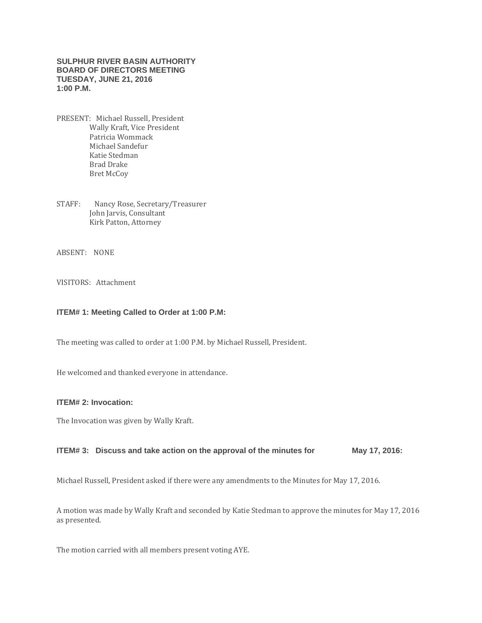### **SULPHUR RIVER BASIN AUTHORITY BOARD OF DIRECTORS MEETING TUESDAY, JUNE 21, 2016 1:00 P.M.**

PRESENT: Michael Russell, President Wally Kraft, Vice President Patricia Wommack Michael Sandefur Katie Stedman Brad Drake Bret McCoy

STAFF: Nancy Rose, Secretary/Treasurer John Jarvis, Consultant Kirk Patton, Attorney

ABSENT: NONE

VISITORS: Attachment

#### **ITEM# 1: Meeting Called to Order at 1:00 P.M:**

The meeting was called to order at 1:00 P.M. by Michael Russell, President.

He welcomed and thanked everyone in attendance.

## **ITEM# 2: Invocation:**

The Invocation was given by Wally Kraft.

## **ITEM# 3: Discuss and take action on the approval of the minutes for May 17, 2016:**

Michael Russell, President asked if there were any amendments to the Minutes for May 17, 2016.

A motion was made by Wally Kraft and seconded by Katie Stedman to approve the minutes for May 17, 2016 as presented.

The motion carried with all members present voting AYE.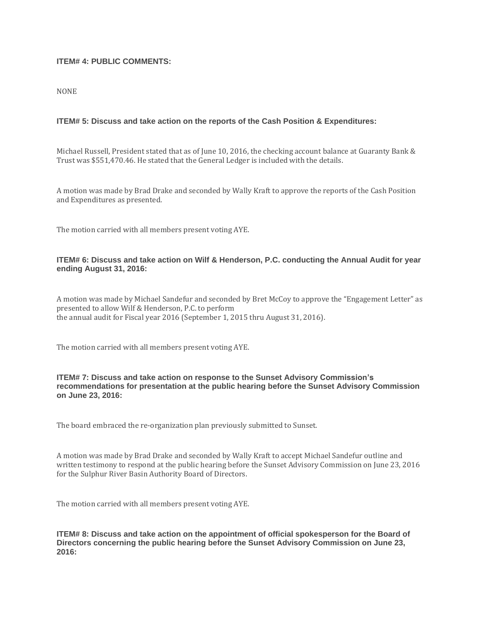### **ITEM# 4: PUBLIC COMMENTS:**

NONE

## **ITEM# 5: Discuss and take action on the reports of the Cash Position & Expenditures:**

Michael Russell, President stated that as of June 10, 2016, the checking account balance at Guaranty Bank & Trust was \$551,470.46. He stated that the General Ledger is included with the details.

A motion was made by Brad Drake and seconded by Wally Kraft to approve the reports of the Cash Position and Expenditures as presented.

The motion carried with all members present voting AYE.

### **ITEM# 6: Discuss and take action on Wilf & Henderson, P.C. conducting the Annual Audit for year ending August 31, 2016:**

A motion was made by Michael Sandefur and seconded by Bret McCoy to approve the "Engagement Letter" as presented to allow Wilf & Henderson, P.C. to perform the annual audit for Fiscal year 2016 (September 1, 2015 thru August 31, 2016).

The motion carried with all members present voting AYE.

#### **ITEM# 7: Discuss and take action on response to the Sunset Advisory Commission's recommendations for presentation at the public hearing before the Sunset Advisory Commission on June 23, 2016:**

The board embraced the re-organization plan previously submitted to Sunset.

A motion was made by Brad Drake and seconded by Wally Kraft to accept Michael Sandefur outline and written testimony to respond at the public hearing before the Sunset Advisory Commission on June 23, 2016 for the Sulphur River Basin Authority Board of Directors.

The motion carried with all members present voting AYE.

**ITEM# 8: Discuss and take action on the appointment of official spokesperson for the Board of Directors concerning the public hearing before the Sunset Advisory Commission on June 23, 2016:**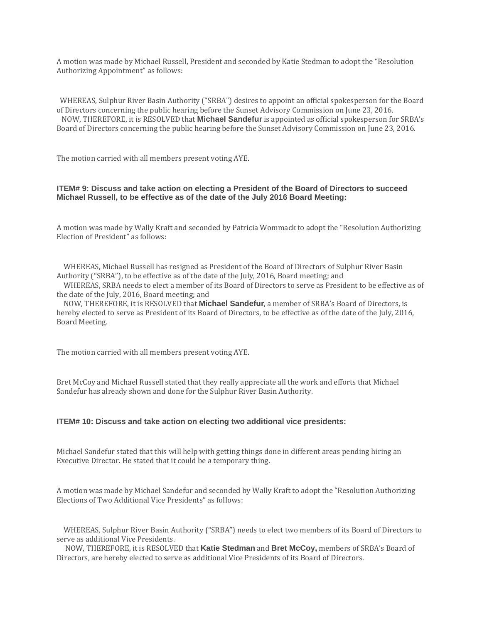A motion was made by Michael Russell, President and seconded by Katie Stedman to adopt the "Resolution Authorizing Appointment" as follows:

 WHEREAS, Sulphur River Basin Authority ("SRBA") desires to appoint an official spokesperson for the Board of Directors concerning the public hearing before the Sunset Advisory Commission on June 23, 2016. NOW, THEREFORE, it is RESOLVED that **Michael Sandefur** is appointed as official spokesperson for SRBA's Board of Directors concerning the public hearing before the Sunset Advisory Commission on June 23, 2016.

The motion carried with all members present voting AYE.

### **ITEM# 9: Discuss and take action on electing a President of the Board of Directors to succeed Michael Russell, to be effective as of the date of the July 2016 Board Meeting:**

A motion was made by Wally Kraft and seconded by Patricia Wommack to adopt the "Resolution Authorizing Election of President" as follows:

 WHEREAS, Michael Russell has resigned as President of the Board of Directors of Sulphur River Basin Authority ("SRBA"), to be effective as of the date of the July, 2016, Board meeting; and

 WHEREAS, SRBA needs to elect a member of its Board of Directors to serve as President to be effective as of the date of the July, 2016, Board meeting; and

 NOW, THEREFORE, it is RESOLVED that **Michael Sandefur**, a member of SRBA's Board of Directors, is hereby elected to serve as President of its Board of Directors, to be effective as of the date of the July, 2016, Board Meeting.

The motion carried with all members present voting AYE.

Bret McCoy and Michael Russell stated that they really appreciate all the work and efforts that Michael Sandefur has already shown and done for the Sulphur River Basin Authority.

#### **ITEM# 10: Discuss and take action on electing two additional vice presidents:**

Michael Sandefur stated that this will help with getting things done in different areas pending hiring an Executive Director. He stated that it could be a temporary thing.

A motion was made by Michael Sandefur and seconded by Wally Kraft to adopt the "Resolution Authorizing Elections of Two Additional Vice Presidents" as follows:

 WHEREAS, Sulphur River Basin Authority ("SRBA") needs to elect two members of its Board of Directors to serve as additional Vice Presidents.

 NOW, THEREFORE, it is RESOLVED that **Katie Stedman** and **Bret McCoy,** members of SRBA's Board of Directors, are hereby elected to serve as additional Vice Presidents of its Board of Directors.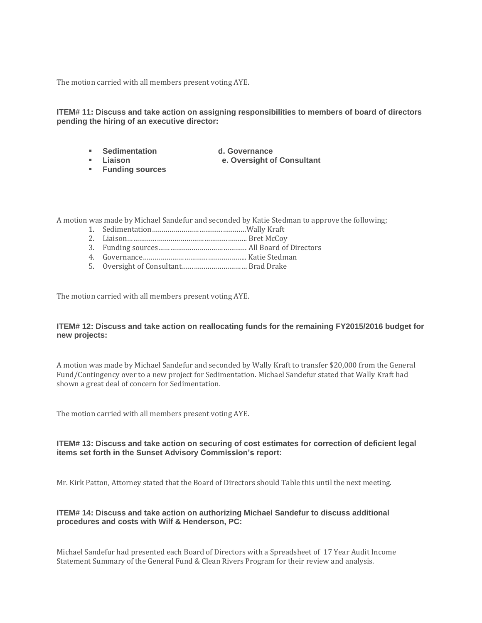The motion carried with all members present voting AYE.

**ITEM# 11: Discuss and take action on assigning responsibilities to members of board of directors pending the hiring of an executive director:**

- **Sedimentation d. Governance**
- 
- 
- **Liaison e. Oversight of Consultant**
- **Funding sources**

A motion was made by Michael Sandefur and seconded by Katie Stedman to approve the following;

- 1. Sedimentation…………………………………………Wally Kraft
- 2. Liaison……………………………………………………. Bret McCoy
- 3. Funding sources……………………………………… All Board of Directors
- 4. Governance…………………………………………….. Katie Stedman
- 5. Oversight of Consultant…………………………… Brad Drake

The motion carried with all members present voting AYE.

#### **ITEM# 12: Discuss and take action on reallocating funds for the remaining FY2015/2016 budget for new projects:**

A motion was made by Michael Sandefur and seconded by Wally Kraft to transfer \$20,000 from the General Fund/Contingency over to a new project for Sedimentation. Michael Sandefur stated that Wally Kraft had shown a great deal of concern for Sedimentation.

The motion carried with all members present voting AYE.

#### **ITEM# 13: Discuss and take action on securing of cost estimates for correction of deficient legal items set forth in the Sunset Advisory Commission's report:**

Mr. Kirk Patton, Attorney stated that the Board of Directors should Table this until the next meeting.

#### **ITEM# 14: Discuss and take action on authorizing Michael Sandefur to discuss additional procedures and costs with Wilf & Henderson, PC:**

Michael Sandefur had presented each Board of Directors with a Spreadsheet of 17 Year Audit Income Statement Summary of the General Fund & Clean Rivers Program for their review and analysis.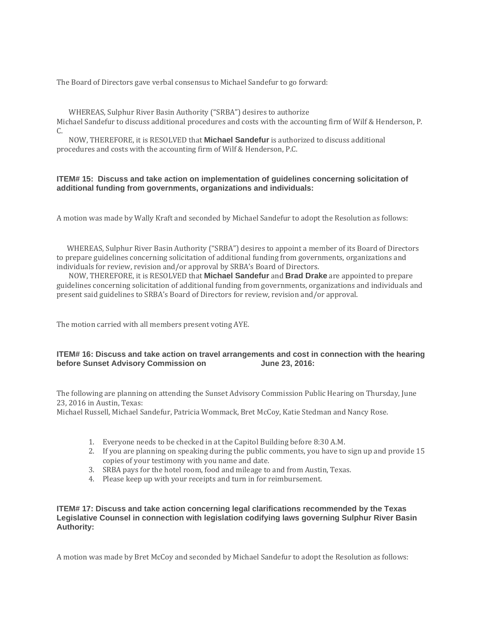The Board of Directors gave verbal consensus to Michael Sandefur to go forward:

 WHEREAS, Sulphur River Basin Authority ("SRBA") desires to authorize Michael Sandefur to discuss additional procedures and costs with the accounting firm of Wilf & Henderson, P. C.

 NOW, THEREFORE, it is RESOLVED that **Michael Sandefur** is authorized to discuss additional procedures and costs with the accounting firm of Wilf & Henderson, P.C.

### **ITEM# 15: Discuss and take action on implementation of guidelines concerning solicitation of additional funding from governments, organizations and individuals:**

A motion was made by Wally Kraft and seconded by Michael Sandefur to adopt the Resolution as follows:

 WHEREAS, Sulphur River Basin Authority ("SRBA") desires to appoint a member of its Board of Directors to prepare guidelines concerning solicitation of additional funding from governments, organizations and individuals for review, revision and/or approval by SRBA's Board of Directors.

 NOW, THEREFORE, it is RESOLVED that **Michael Sandefur** and **Brad Drake** are appointed to prepare guidelines concerning solicitation of additional funding from governments, organizations and individuals and present said guidelines to SRBA's Board of Directors for review, revision and/or approval.

The motion carried with all members present voting AYE.

### **ITEM# 16: Discuss and take action on travel arrangements and cost in connection with the hearing before Sunset Advisory Commission on June 23, 2016:**

The following are planning on attending the Sunset Advisory Commission Public Hearing on Thursday, June 23, 2016 in Austin, Texas:

Michael Russell, Michael Sandefur, Patricia Wommack, Bret McCoy, Katie Stedman and Nancy Rose.

- 1. Everyone needs to be checked in at the Capitol Building before 8:30 A.M.
- 2. If you are planning on speaking during the public comments, you have to sign up and provide 15 copies of your testimony with you name and date.
- 3. SRBA pays for the hotel room, food and mileage to and from Austin, Texas.
- 4. Please keep up with your receipts and turn in for reimbursement.

#### **ITEM# 17: Discuss and take action concerning legal clarifications recommended by the Texas Legislative Counsel in connection with legislation codifying laws governing Sulphur River Basin Authority:**

A motion was made by Bret McCoy and seconded by Michael Sandefur to adopt the Resolution as follows: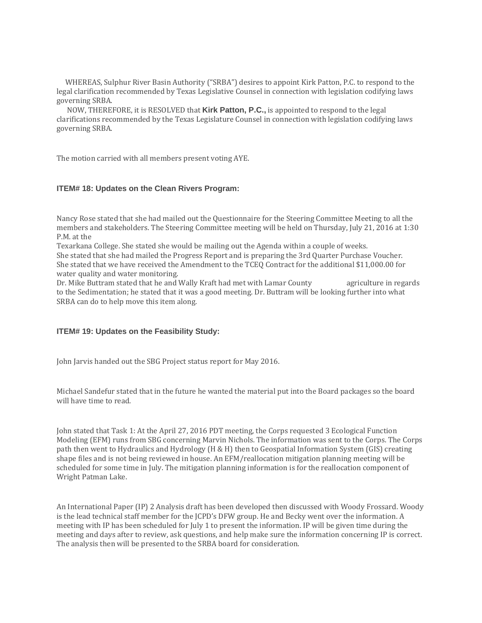WHEREAS, Sulphur River Basin Authority ("SRBA") desires to appoint Kirk Patton, P.C. to respond to the legal clarification recommended by Texas Legislative Counsel in connection with legislation codifying laws governing SRBA.

 NOW, THEREFORE, it is RESOLVED that **Kirk Patton, P.C.,** is appointed to respond to the legal clarifications recommended by the Texas Legislature Counsel in connection with legislation codifying laws governing SRBA.

The motion carried with all members present voting AYE.

#### **ITEM# 18: Updates on the Clean Rivers Program:**

Nancy Rose stated that she had mailed out the Questionnaire for the Steering Committee Meeting to all the members and stakeholders. The Steering Committee meeting will be held on Thursday, July 21, 2016 at 1:30 P.M. at the

Texarkana College. She stated she would be mailing out the Agenda within a couple of weeks. She stated that she had mailed the Progress Report and is preparing the 3rd Quarter Purchase Voucher. She stated that we have received the Amendment to the TCEQ Contract for the additional \$11,000.00 for water quality and water monitoring.

Dr. Mike Buttram stated that he and Wally Kraft had met with Lamar County agriculture in regards to the Sedimentation; he stated that it was a good meeting. Dr. Buttram will be looking further into what SRBA can do to help move this item along.

#### **ITEM# 19: Updates on the Feasibility Study:**

John Jarvis handed out the SBG Project status report for May 2016.

Michael Sandefur stated that in the future he wanted the material put into the Board packages so the board will have time to read.

John stated that Task 1: At the April 27, 2016 PDT meeting, the Corps requested 3 Ecological Function Modeling (EFM) runs from SBG concerning Marvin Nichols. The information was sent to the Corps. The Corps path then went to Hydraulics and Hydrology (H & H) then to Geospatial Information System (GIS) creating shape files and is not being reviewed in house. An EFM/reallocation mitigation planning meeting will be scheduled for some time in July. The mitigation planning information is for the reallocation component of Wright Patman Lake.

An International Paper (IP) 2 Analysis draft has been developed then discussed with Woody Frossard. Woody is the lead technical staff member for the JCPD's DFW group. He and Becky went over the information. A meeting with IP has been scheduled for July 1 to present the information. IP will be given time during the meeting and days after to review, ask questions, and help make sure the information concerning IP is correct. The analysis then will be presented to the SRBA board for consideration.